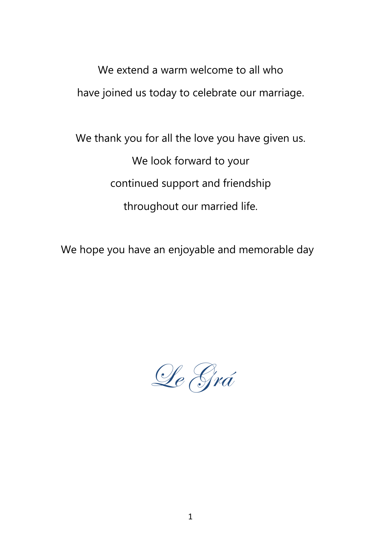We extend a warm welcome to all who have joined us today to celebrate our marriage.

We thank you for all the love you have given us. We look forward to your continued support and friendship throughout our married life.

We hope you have an enjoyable and memorable day

Le Grá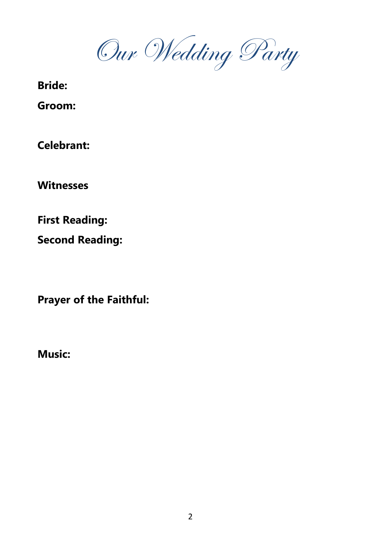Our Wedding Party

**Bride:** 

**Groom:** 

**Celebrant:** 

**Witnesses**

**First Reading:** 

**Second Reading:** 

**Prayer of the Faithful:**

**Music:**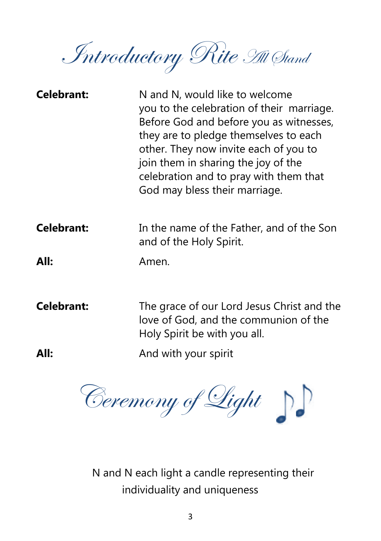Introductory Rite All Stand

| <b>Celebrant:</b> | N and N, would like to welcome<br>you to the celebration of their marriage.<br>Before God and before you as witnesses,<br>they are to pledge themselves to each<br>other. They now invite each of you to<br>join them in sharing the joy of the<br>celebration and to pray with them that<br>God may bless their marriage. |
|-------------------|----------------------------------------------------------------------------------------------------------------------------------------------------------------------------------------------------------------------------------------------------------------------------------------------------------------------------|
| <b>Celebrant:</b> | In the name of the Father, and of the Son<br>and of the Holy Spirit.                                                                                                                                                                                                                                                       |

**All:** Amen.

**Celebrant:** The grace of our Lord Jesus Christ and the love of God, and the communion of the Holy Spirit be with you all.

**All:** And with your spirit



N and N each light a candle representing their individuality and uniqueness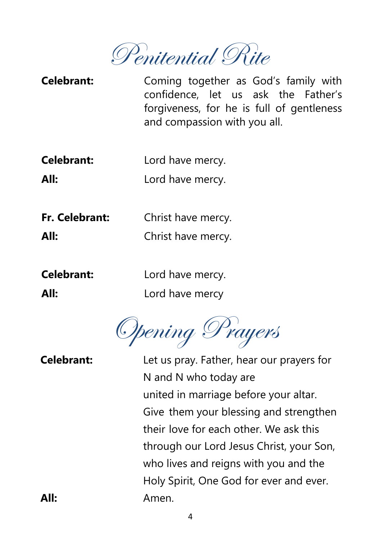Penitential Rite

**Celebrant:** Coming together as God's family with confidence, let us ask the Father's forgiveness, for he is full of gentleness and compassion with you all.

**Celebrant:** Lord have mercy.

**All:** Lord have mercy.

**Fr. Celebrant:** Christ have mercy.

**All:** Christ have mercy.

**Celebrant:** Lord have mercy.

**All:** Lord have mercy

Opening Prayers

**Celebrant:** Let us pray. Father, hear our prayers for N and N who today are united in marriage before your altar. Give them your blessing and strengthen their love for each other. We ask this through our Lord Jesus Christ, your Son, who lives and reigns with you and the Holy Spirit, One God for ever and ever. **All:** Amen.

4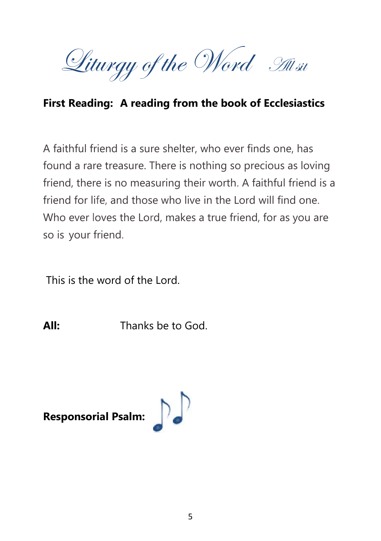Liturgy of the Word All sit

### **First Reading: A reading from the book of Ecclesiastics**

A faithful friend is a sure shelter, who ever finds one, has found a rare treasure. There is nothing so precious as loving friend, there is no measuring their worth. A faithful friend is a friend for life, and those who live in the Lord will find one. Who ever loves the Lord, makes a true friend, for as you are so is your friend.

This is the word of the Lord.

**All:** Thanks be to God.

**Responsorial Psalm:**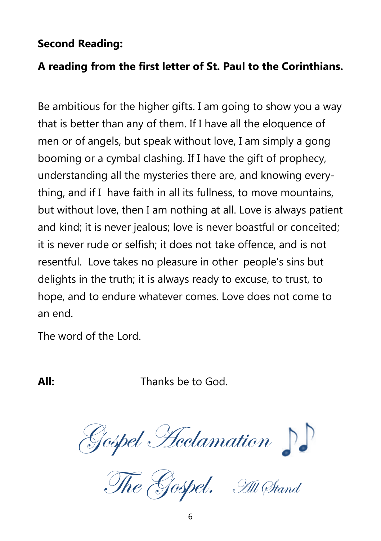#### **Second Reading:**

## **A reading from the first letter of St. Paul to the Corinthians.**

Be ambitious for the higher gifts. I am going to show you a way that is better than any of them. If I have all the eloquence of men or of angels, but speak without love, I am simply a gong booming or a cymbal clashing. If I have the gift of prophecy, understanding all the mysteries there are, and knowing everything, and if I have faith in all its fullness, to move mountains, but without love, then I am nothing at all. Love is always patient and kind; it is never jealous; love is never boastful or conceited; it is never rude or selfish; it does not take offence, and is not resentful. Love takes no pleasure in other people's sins but delights in the truth; it is always ready to excuse, to trust, to hope, and to endure whatever comes. Love does not come to an end.

The word of the Lord.

**All:** Thanks be to God.

Gospel Acclamation

The Gospel. All Stand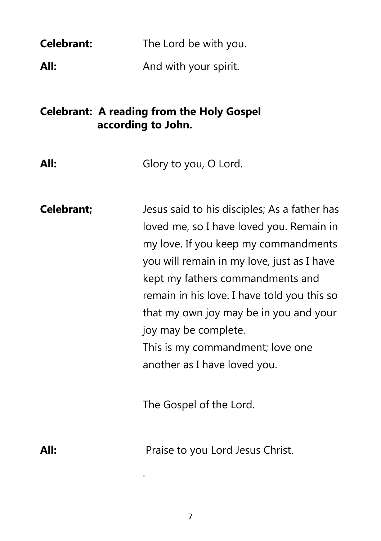| <b>Celebrant:</b> | The Lord be with you. |
|-------------------|-----------------------|
| All:              | And with your spirit. |

## **Celebrant: A reading from the Holy Gospel according to John.**

| <b>Celebrant;</b> | Jesus said to his disciples; As a father has |
|-------------------|----------------------------------------------|
|                   | loved me, so I have loved you. Remain in     |
|                   | my love. If you keep my commandments         |
|                   | you will remain in my love, just as I have   |
|                   | kept my fathers commandments and             |
|                   | remain in his love. I have told you this so  |
|                   | that my own joy may be in you and your       |
|                   | joy may be complete.                         |
|                   | This is my commandment; love one             |
|                   | another as I have loved you.                 |
|                   |                                              |
|                   | The Gospel of the Lord.                      |
|                   |                                              |

All: Praise to you Lord Jesus Christ.

.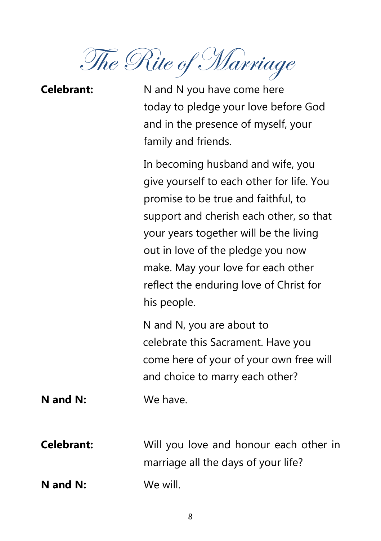The Rite of Marriage

| <b>Celebrant:</b> | N and N you have come here<br>today to pledge your love before God<br>and in the presence of myself, your<br>family and friends.                                                                                                                                                                                                                |
|-------------------|-------------------------------------------------------------------------------------------------------------------------------------------------------------------------------------------------------------------------------------------------------------------------------------------------------------------------------------------------|
|                   | In becoming husband and wife, you<br>give yourself to each other for life. You<br>promise to be true and faithful, to<br>support and cherish each other, so that<br>your years together will be the living<br>out in love of the pledge you now<br>make. May your love for each other<br>reflect the enduring love of Christ for<br>his people. |
|                   | N and N, you are about to<br>celebrate this Sacrament. Have you<br>come here of your of your own free will<br>and choice to marry each other?                                                                                                                                                                                                   |
| N and N:          | We have.                                                                                                                                                                                                                                                                                                                                        |
| <b>Celebrant:</b> | Will you love and honour each other in<br>marriage all the days of your life?                                                                                                                                                                                                                                                                   |
| N and N:          | We will.                                                                                                                                                                                                                                                                                                                                        |

8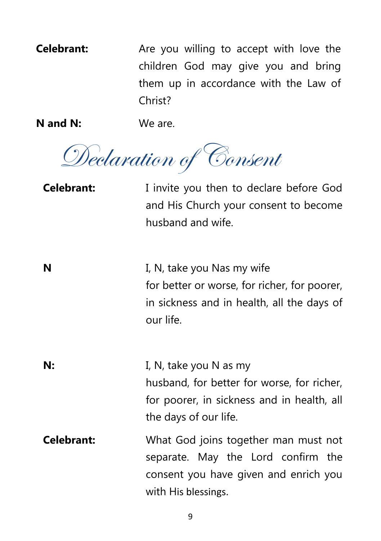**Celebrant:** Are you willing to accept with love the children God may give you and bring them up in accordance with the Law of Christ?

**N and N:** We are.

Declaration of Consent

**Celebrant:** I invite you then to declare before God and His Church your consent to become husband and wife.

**N** I, N, take you Nas my wife for better or worse, for richer, for poorer, in sickness and in health, all the days of our life.

**N:** I, N, take you N as my husband, for better for worse, for richer, for poorer, in sickness and in health, all the days of our life.

**Celebrant:** What God joins together man must not separate. May the Lord confirm the consent you have given and enrich you with His blessings.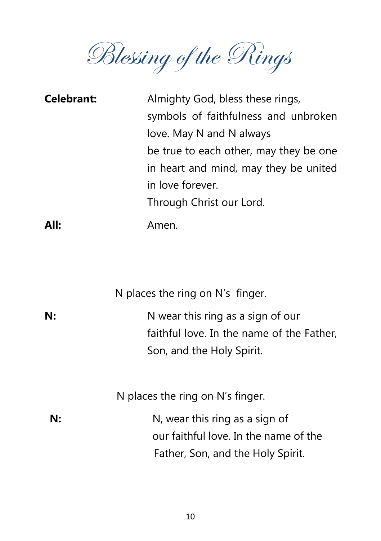Blessing of the Rings

| <b>Celebrant:</b> | Almighty God, bless these rings,       |
|-------------------|----------------------------------------|
|                   | symbols of faithfulness and unbroken   |
|                   | love. May N and N always               |
|                   | be true to each other, may they be one |
|                   | in heart and mind, may they be united  |
|                   | in love forever.                       |
|                   | Through Christ our Lord.               |
| All:              | Amen.                                  |

N places the ring on N's finger.

| N: | N wear this ring as a sign of our         |
|----|-------------------------------------------|
|    | faithful love. In the name of the Father, |
|    | Son, and the Holy Spirit.                 |

N places the ring on N's finger.

| N: | N, wear this ring as a sign of        |
|----|---------------------------------------|
|    | our faithful love. In the name of the |
|    | Father, Son, and the Holy Spirit.     |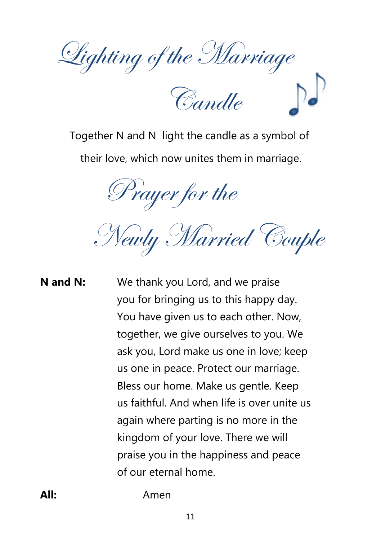Lighting of the Marriage

Candle

Together N and N light the candle as a symbol of their love, which now unites them in marriage.

Prayer for the

Newly Married Couple

# **N and N:** We thank you Lord, and we praise you for bringing us to this happy day. You have given us to each other. Now, together, we give ourselves to you. We ask you, Lord make us one in love; keep us one in peace. Protect our marriage. Bless our home. Make us gentle. Keep us faithful. And when life is over unite us again where parting is no more in the kingdom of your love. There we will praise you in the happiness and peace of our eternal home.

**All:** Amen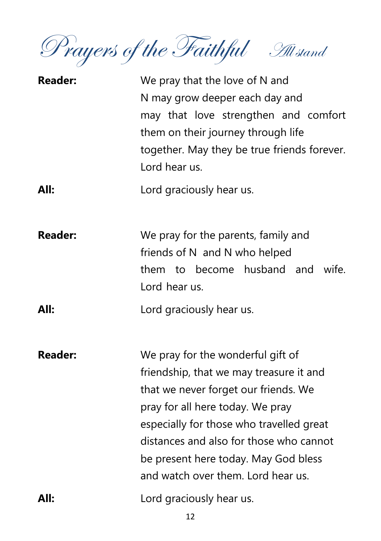Prayers of the Faithful All stand

| <b>Reader:</b> | We pray that the love of N and<br>N may grow deeper each day and<br>may that love strengthen and comfort<br>them on their journey through life<br>together. May they be true friends forever.<br>Lord hear us.                                                                                                                |
|----------------|-------------------------------------------------------------------------------------------------------------------------------------------------------------------------------------------------------------------------------------------------------------------------------------------------------------------------------|
| All:           | Lord graciously hear us.                                                                                                                                                                                                                                                                                                      |
| <b>Reader:</b> | We pray for the parents, family and<br>friends of N and N who helped<br>them to become husband and<br>wife.<br>Lord hear us.                                                                                                                                                                                                  |
| All:           | Lord graciously hear us.                                                                                                                                                                                                                                                                                                      |
| <b>Reader:</b> | We pray for the wonderful gift of<br>friendship, that we may treasure it and<br>that we never forget our friends. We<br>pray for all here today. We pray<br>especially for those who travelled great<br>distances and also for those who cannot<br>be present here today. May God bless<br>and watch over them. Lord hear us. |
| All:           | Lord graciously hear us.                                                                                                                                                                                                                                                                                                      |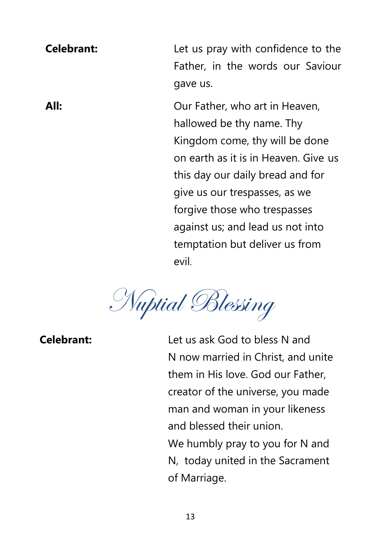**Celebrant:** Let us pray with confidence to the Father, in the words our Saviour gave us.

**All: Our Father, who art in Heaven,** hallowed be thy name. Thy Kingdom come, thy will be done on earth as it is in Heaven. Give us this day our daily bread and for give us our trespasses, as we forgive those who trespasses against us; and lead us not into temptation but deliver us from evil.

Nuptial Blessing

**Celebrant:** Let us ask God to bless N and N now married in Christ, and unite them in His love. God our Father, creator of the universe, you made man and woman in your likeness and blessed their union. We humbly pray to you for N and N, today united in the Sacrament of Marriage.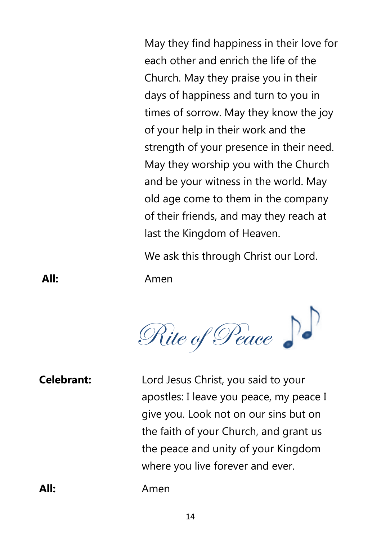May they find happiness in their love for each other and enrich the life of the Church. May they praise you in their days of happiness and turn to you in times of sorrow. May they know the joy of your help in their work and the strength of your presence in their need. May they worship you with the Church and be your witness in the world. May old age come to them in the company of their friends, and may they reach at last the Kingdom of Heaven.

We ask this through Christ our Lord.

**All:** Amen



**Celebrant:** Lord Jesus Christ, you said to your apostles: I leave you peace, my peace I give you. Look not on our sins but on the faith of your Church, and grant us the peace and unity of your Kingdom where you live forever and ever.

**All:** Amen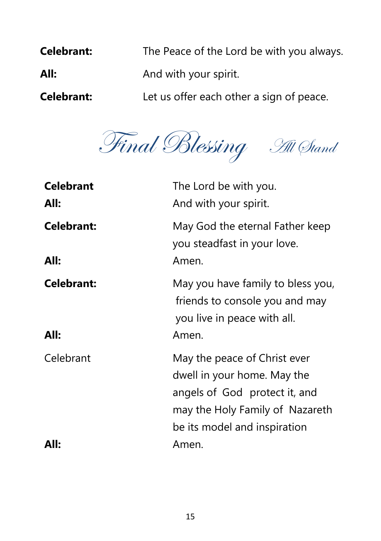| <b>Celebrant:</b> | The Peace of the Lord be with you always. |
|-------------------|-------------------------------------------|
| All:              | And with your spirit.                     |
| <b>Celebrant:</b> | Let us offer each other a sign of peace.  |

Final Blessing All Stand

| <b>Celebrant</b><br>All:  | The Lord be with you.<br>And with your spirit.                                                                                                                  |
|---------------------------|-----------------------------------------------------------------------------------------------------------------------------------------------------------------|
| <b>Celebrant:</b><br>All: | May God the eternal Father keep<br>you steadfast in your love.<br>Amen.                                                                                         |
| <b>Celebrant:</b><br>All: | May you have family to bless you,<br>friends to console you and may<br>you live in peace with all.<br>Amen.                                                     |
| Celebrant                 | May the peace of Christ ever<br>dwell in your home. May the<br>angels of God protect it, and<br>may the Holy Family of Nazareth<br>be its model and inspiration |
| All:                      | Amen.                                                                                                                                                           |